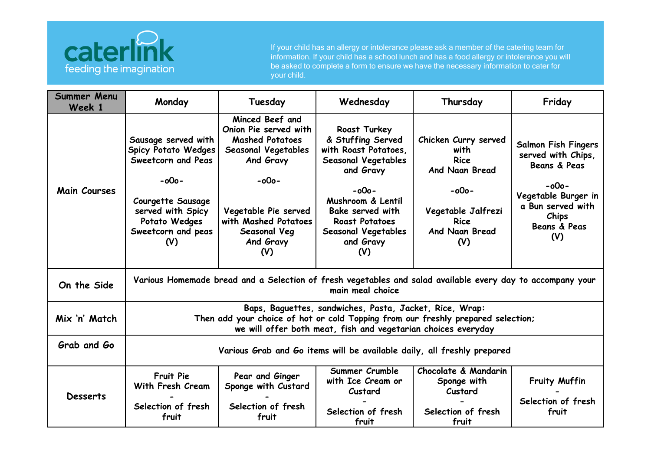

If your child has an allergy or intolerance please ask a member of the catering team for information. If your child has a school lunch and has a food allergy or intolerance you will be asked to complete a form to ensure we have the necessary information to cater for your child.

| <b>Summer Menu</b><br>Week 1 | Monday                                                                                                                                                                                                       | Tuesday                                                                                                                                                                                                      | Wednesday                                                                                                                                                                                                                     | Thursday                                                                                                                               | Friday                                                                                                                                                   |  |  |
|------------------------------|--------------------------------------------------------------------------------------------------------------------------------------------------------------------------------------------------------------|--------------------------------------------------------------------------------------------------------------------------------------------------------------------------------------------------------------|-------------------------------------------------------------------------------------------------------------------------------------------------------------------------------------------------------------------------------|----------------------------------------------------------------------------------------------------------------------------------------|----------------------------------------------------------------------------------------------------------------------------------------------------------|--|--|
| <b>Main Courses</b>          | Sausage served with<br><b>Spicy Potato Wedges</b><br>Sweetcorn and Peas<br>$-000-$<br><b>Courgette Sausage</b><br>served with Spicy<br>Potato Wedges<br>Sweetcorn and peas<br>(V)                            | Minced Beef and<br>Onion Pie served with<br><b>Mashed Potatoes</b><br><b>Seasonal Vegetables</b><br>And Gravy<br>$-000-$<br>Vegetable Pie served<br>with Mashed Potatoes<br>Seasonal Veg<br>And Gravy<br>(V) | Roast Turkey<br>& Stuffing Served<br>with Roast Potatoes,<br>Seasonal Vegetables<br>and Gravy<br>$-000 -$<br>Mushroom & Lentil<br>Bake served with<br><b>Roast Potatoes</b><br><b>Seasonal Vegetables</b><br>and Gravy<br>(V) | Chicken Curry served<br>with<br><b>Rice</b><br>And Naan Bread<br>$-000-$<br>Vegetable Jalfrezi<br><b>Rice</b><br>And Naan Bread<br>(V) | <b>Salmon Fish Fingers</b><br>served with Chips,<br>Beans & Peas<br>$-000 -$<br>Vegetable Burger in<br>a Bun served with<br>Chips<br>Beans & Peas<br>(V) |  |  |
| On the Side                  | Various Homemade bread and a Selection of fresh vegetables and salad available every day to accompany your<br>main meal choice                                                                               |                                                                                                                                                                                                              |                                                                                                                                                                                                                               |                                                                                                                                        |                                                                                                                                                          |  |  |
| Mix 'n' Match                | Baps, Baguettes, sandwiches, Pasta, Jacket, Rice, Wrap:<br>Then add your choice of hot or cold Topping from our freshly prepared selection;<br>we will offer both meat, fish and vegetarian choices everyday |                                                                                                                                                                                                              |                                                                                                                                                                                                                               |                                                                                                                                        |                                                                                                                                                          |  |  |
| Grab and Go                  | Various Grab and Go items will be available daily, all freshly prepared                                                                                                                                      |                                                                                                                                                                                                              |                                                                                                                                                                                                                               |                                                                                                                                        |                                                                                                                                                          |  |  |
| <b>Desserts</b>              | Fruit Pie<br>With Fresh Cream<br>Selection of fresh<br>fruit                                                                                                                                                 | Pear and Ginger<br>Sponge with Custard<br>Selection of fresh<br>fruit                                                                                                                                        | Summer Crumble<br>with Ice Cream or<br>Custard<br>Selection of fresh<br>fruit                                                                                                                                                 | Chocolate & Mandarin<br>Sponge with<br>Custard<br>Selection of fresh<br>fruit                                                          | Fruity Muffin<br>Selection of fresh<br>fruit                                                                                                             |  |  |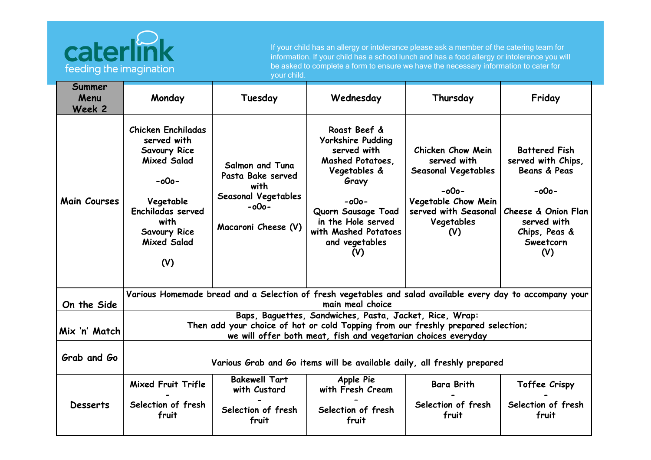

If your child has an allergy or intolerance please ask a member of the catering team for information. If your child has a school lunch and has a food allergy or intolerance you will be asked to complete a form to ensure we have the necessary information to cater for your child.

| Summer<br>Menu<br>Week 2 | Monday                                                                                                                                                                                                       | Tuesday                                                                                                              | Wednesday                                                                                                                                                                                                    | Thursday                                                                                                                                      | Friday                                                                                                                                                       |  |  |
|--------------------------|--------------------------------------------------------------------------------------------------------------------------------------------------------------------------------------------------------------|----------------------------------------------------------------------------------------------------------------------|--------------------------------------------------------------------------------------------------------------------------------------------------------------------------------------------------------------|-----------------------------------------------------------------------------------------------------------------------------------------------|--------------------------------------------------------------------------------------------------------------------------------------------------------------|--|--|
| <b>Main Courses</b>      | <b>Chicken Enchiladas</b><br>served with<br>Savoury Rice<br><b>Mixed Salad</b><br>$-000-$<br>Vegetable<br>Enchiladas served<br>with<br><b>Savoury Rice</b><br><b>Mixed Salad</b><br>(V)                      | <b>Salmon and Tuna</b><br>Pasta Bake served<br>with<br><b>Seasonal Vegetables</b><br>$-000 -$<br>Macaroni Cheese (V) | Roast Beef &<br><b>Yorkshire Pudding</b><br>served with<br>Mashed Potatoes.<br>Vegetables &<br>Gravy<br>$-000-$<br>Quorn Sausage Toad<br>in the Hole served<br>with Mashed Potatoes<br>and vegetables<br>(V) | Chicken Chow Mein<br>served with<br><b>Seasonal Vegetables</b><br>$-000-$<br>Vegetable Chow Mein<br>served with Seasonal<br>Vegetables<br>(V) | <b>Battered Fish</b><br>served with Chips,<br><b>Beans &amp; Peas</b><br>$-000 -$<br>Cheese & Onion Flan<br>served with<br>Chips, Peas &<br>Sweetcorn<br>(V) |  |  |
| On the Side              | Various Homemade bread and a Selection of fresh vegetables and salad available every day to accompany your<br>main meal choice                                                                               |                                                                                                                      |                                                                                                                                                                                                              |                                                                                                                                               |                                                                                                                                                              |  |  |
| Mix 'n' Match            | Baps, Baguettes, Sandwiches, Pasta, Jacket, Rice, Wrap:<br>Then add your choice of hot or cold Topping from our freshly prepared selection;<br>we will offer both meat, fish and vegetarian choices everyday |                                                                                                                      |                                                                                                                                                                                                              |                                                                                                                                               |                                                                                                                                                              |  |  |
| Grab and Go              | Various Grab and Go items will be available daily, all freshly prepared                                                                                                                                      |                                                                                                                      |                                                                                                                                                                                                              |                                                                                                                                               |                                                                                                                                                              |  |  |
| <b>Desserts</b>          | Mixed Fruit Trifle<br>Selection of fresh<br>fruit                                                                                                                                                            | <b>Bakewell Tart</b><br>with Custard<br>Selection of fresh<br>fruit                                                  | Apple Pie<br>with Fresh Cream<br>Selection of fresh<br>fruit                                                                                                                                                 | <b>Bara Brith</b><br>Selection of fresh<br>fruit                                                                                              | Toffee Crispy<br>Selection of fresh<br>fruit                                                                                                                 |  |  |